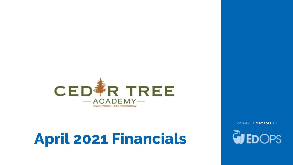

# **April 2021 Financials**

PREPARED **MAY 2021** BY

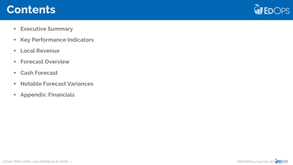## **Contents**



- **Executive Summary**
- **Key Performance Indicators**
- **Local Revenue**
- **Forecast Overview**
- **Cash Forecast**
- **Notable Forecast Variances**
- **Appendix: Financials**

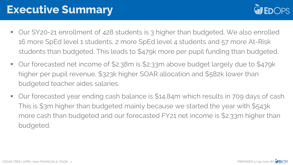## **Executive Summary**



- Our SY20-21 enrollment of 428 students is 3 higher than budgeted. We also enrolled 16 more SpEd level 1 students, 2 more SpEd level 4 students and 57 more At-Risk students than budgeted. This leads to \$479k more per pupil funding than budgeted.
- Our forecasted net income of \$2.38m is \$2.33m above budget largely due to \$479k higher per pupil revenue, \$323k higher SOAR allocation and \$582k lower than budgeted teacher aides salaries.
- Our forecasted year ending cash balance is \$14.84m which results in 709 days of cash. This is \$3m higher than budgeted mainly because we started the year with \$543k more cash than budgeted and our forecasted FY21 net income is \$2.33m higher than budgeted.

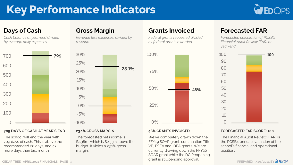## **Key Performance Indicators**



#### **Days of Cash**

*Cash balance at year-end divided by average daily expenses*



#### **709 DAYS OF CASH AT YEAR'S END**

The school will end the year with 709 days of cash. This is above the recommended 60 days, and 47 more days than last month

#### **Gross Margin**

*Revenue less expenses, divided by revenue*



## **23.1% GROSS MARGIN**

The forecasted net income is \$2.38m, which is \$2.33m above the budget. It yields a 23.1% gross margin.

#### **Grants Invoiced**

*Federal grants requested divided by federal grants awarded.*



#### **48% GRANTS INVOICED**

We've completely drawn down the FFY19 SOAR grant, continuation Title VB, ESEA and IDEA grants. We are currently drawing down the FFY20 SOAR grant while the DC Reopening grant is still pending approval.

#### **Forecasted FAR**

*Forecasted calculation of PCSB's Financial Audit Review (FAR) at year-end*



#### **FORECASTED FAR SCORE: 100**

The Financial Audit Review (FAR) is the PCSB's annual evaluation of the school's financial and operational position.

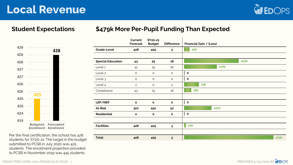## **Local Revenue**



#### **Student Expectations**

#### **\$479k More Per-Pupil Funding Than Expected**



| Per the final certification, the school has 428 |
|-------------------------------------------------|
| students for SY20-21. The target in the budget  |
| submitted to PCSB in July 2020 was 425          |
| students. The enrollment projection provided    |
| to PCSB in November 2019 was 445 students.      |

|     |                                                                                                   |                          | Current<br>Forecast | SY20-21<br><b>Budget</b> | <b>Difference</b> | Financial Gain / (Loss) |
|-----|---------------------------------------------------------------------------------------------------|--------------------------|---------------------|--------------------------|-------------------|-------------------------|
| 429 | 428                                                                                               | <b>Grade-Level</b>       | 428                 | 425                      | $\mathbf{3}$      | 29k                     |
| 428 |                                                                                                   |                          |                     |                          |                   |                         |
| 428 |                                                                                                   | <b>Special Education</b> | 43                  | 25                       | 18                | <b>293k</b>             |
| 427 |                                                                                                   | Level 1                  | 41                  | 25                       | 16                | 176k                    |
|     |                                                                                                   | Level 2                  | $\circ$             | $\circ$                  | $\circ$           | $\mathbf{o}$            |
| 427 |                                                                                                   | Level 3                  | $\circ$             | $\circ$                  | $\circ$           | $\bullet$               |
| 426 |                                                                                                   | Level 4                  | $\mathbf{2}$        | $\circ$                  | $\overline{2}$    | <b>79k</b>              |
| 426 |                                                                                                   | Compliance               | 43                  | 25                       | 18                | <b>38k</b>              |
| 425 | 425                                                                                               |                          |                     |                          |                   |                         |
|     |                                                                                                   | LEP/NEP                  | $\mathbf{o}$        | $\mathbf{o}$             | $\mathbf{o}$      | $\bullet$               |
| 425 |                                                                                                   | <b>At-Risk</b>           | 307                 | 250                      | 57                | 147k                    |
| 424 |                                                                                                   | <b>Residential</b>       | $\bullet$           | $\mathbf{o}$             | $\mathbf{o}$      | $\bullet$               |
| 424 |                                                                                                   |                          |                     |                          |                   |                         |
|     | <b>Budgeted Forecasted</b><br><b>Enrollment Enrollment</b>                                        | <b>Facilities</b>        | 428                 | 425                      | $\mathbf{3}$      | $\blacksquare$ 10 $k$   |
|     | Per the final certification, the school has 428<br>students for SY20-21. The target in the budget | <b>Total</b>             | 428                 | 425                      | $\mathbf{3}$      | 479k                    |

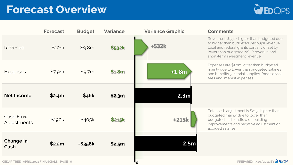## **Forecast Overview**



|                                             | <b>Forecast</b> | <b>Budget</b> | <b>Variance</b> | <b>Variance Graphic</b> | <b>Comments</b>                                                                                                                                                                                                    |
|---------------------------------------------|-----------------|---------------|-----------------|-------------------------|--------------------------------------------------------------------------------------------------------------------------------------------------------------------------------------------------------------------|
| Revenue                                     | \$10m           | \$9.8m        | \$532k          | $+532k$                 | Revenue is \$532k higher than budgeted due<br>to higher than budgeted per pupil revenue,<br>local and federal grants partially offset by<br>lower than budgeted NSLP revenue and<br>short-term investment revenue. |
| <b>Expenses</b>                             | \$7.9m          | \$9.7m        | \$1.8m          | $+1.8m$                 | Expenses are \$1.8m lower than budgeted<br>mainly due to lower than budgeted salaries<br>and benefits, janitorial supplies, food service<br>fees and interest expenses.                                            |
| <b>Net Income</b>                           | \$2.4m          | \$46k         | \$2.3m          | 2.3 <sub>m</sub>        |                                                                                                                                                                                                                    |
| Cash Flow<br>Adjustments                    | $-$ \$190 $k$   | $-$405k$      | <b>\$215k</b>   | $+215k$                 | Total cash adjustment is \$215k higher than<br>budgeted mainly due to lower than<br>budgeted cash outflow on building<br>improvements and negative adjustment on<br>accrued salaries.                              |
| <b>Change in</b><br>Cash                    | \$2.2m          | $-$ \$358 $k$ | \$2.5m          | 2.5m                    |                                                                                                                                                                                                                    |
| CEDAR TREE   APRIL 2021 FINANCIALS   PAGE 6 |                 |               |                 | O                       | PREPARED 5/29/2021 BY WEDOPS                                                                                                                                                                                       |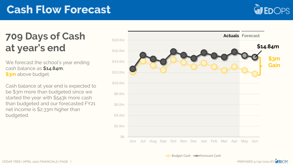## **Cash Flow Forecast**



## **709 Days of Cash at year's end**

We forecast the school's year ending cash balance as **\$14.84m**, **\$3m** above budget.

Cash balance at year end is expected to be \$3m more than budgeted since we started the year with \$543k more cash than budgeted and our forecasted FY21 net income is \$2.33m higher than budgeted.

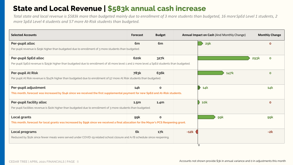### **State and Local Revenue | \$583k annual cash increase**

*Total state and local revenue is \$583k more than budgeted mainly due to enrollment of 3 more students than budgeted, 16 more SpEd Level 1 students, 2 more SpEd Level 4 students and 57 more At-Risk students than budgeted.*

| <b>Forecast</b>                                                                                     | <b>Budget</b>    |                                                                                                                                                                                                                                                                                                                                                                   | <b>Monthly Change</b>                                                                                                                                                                                                                                                                                                                                                                                                   |                                                            |
|-----------------------------------------------------------------------------------------------------|------------------|-------------------------------------------------------------------------------------------------------------------------------------------------------------------------------------------------------------------------------------------------------------------------------------------------------------------------------------------------------------------|-------------------------------------------------------------------------------------------------------------------------------------------------------------------------------------------------------------------------------------------------------------------------------------------------------------------------------------------------------------------------------------------------------------------------|------------------------------------------------------------|
| 6 <sub>m</sub>                                                                                      | 6 <sub>m</sub>   |                                                                                                                                                                                                                                                                                                                                                                   | 29k                                                                                                                                                                                                                                                                                                                                                                                                                     | $\Omega$                                                   |
| Per pupil revenue is \$29k higher than budgeted due to enrollment of 3 more students than budgeted. |                  |                                                                                                                                                                                                                                                                                                                                                                   |                                                                                                                                                                                                                                                                                                                                                                                                                         |                                                            |
| <b>620k</b>                                                                                         | 327k             |                                                                                                                                                                                                                                                                                                                                                                   |                                                                                                                                                                                                                                                                                                                                                                                                                         | <b>293k</b><br>$\bullet$                                   |
|                                                                                                     |                  |                                                                                                                                                                                                                                                                                                                                                                   |                                                                                                                                                                                                                                                                                                                                                                                                                         |                                                            |
| <b>783k</b>                                                                                         | 636k             |                                                                                                                                                                                                                                                                                                                                                                   | <b>147k</b>                                                                                                                                                                                                                                                                                                                                                                                                             | $\mathbf{o}$                                               |
|                                                                                                     |                  |                                                                                                                                                                                                                                                                                                                                                                   |                                                                                                                                                                                                                                                                                                                                                                                                                         |                                                            |
| 14k                                                                                                 | $\mathbf{o}$     |                                                                                                                                                                                                                                                                                                                                                                   | $\rightarrow$<br>14k                                                                                                                                                                                                                                                                                                                                                                                                    | 14k                                                        |
|                                                                                                     |                  |                                                                                                                                                                                                                                                                                                                                                                   |                                                                                                                                                                                                                                                                                                                                                                                                                         |                                                            |
| 1.5 <sub>m</sub>                                                                                    | 1.4 <sub>m</sub> |                                                                                                                                                                                                                                                                                                                                                                   | <b>10k</b>                                                                                                                                                                                                                                                                                                                                                                                                              | $\mathbf{o}$                                               |
|                                                                                                     |                  |                                                                                                                                                                                                                                                                                                                                                                   |                                                                                                                                                                                                                                                                                                                                                                                                                         |                                                            |
| 99k                                                                                                 | $\mathbf{o}$     |                                                                                                                                                                                                                                                                                                                                                                   | 99k                                                                                                                                                                                                                                                                                                                                                                                                                     | 99k                                                        |
|                                                                                                     |                  |                                                                                                                                                                                                                                                                                                                                                                   |                                                                                                                                                                                                                                                                                                                                                                                                                         |                                                            |
| 6k                                                                                                  | 17k              | $-12k$                                                                                                                                                                                                                                                                                                                                                            |                                                                                                                                                                                                                                                                                                                                                                                                                         | $-2k$                                                      |
|                                                                                                     |                  |                                                                                                                                                                                                                                                                                                                                                                   |                                                                                                                                                                                                                                                                                                                                                                                                                         |                                                            |
|                                                                                                     |                  | Per pupil At Risk revenue is \$147k higher than budgeted due to enrollment of 57 more At Risk students than budgeted.<br>Per pupil facilities revenue is \$10k higher than budgeted due to enrollment of 3 more students than budgeted.<br>Reduced by \$12k since fewer meals were served under COVID-19 related school closure and A/B schedule since reopening. | Per pupil SpEd revenue is \$293k higher than budgeted due to enrollment of 16 more level 1 and 2 more level 4 SpEd students than budgeted.<br>This month, forecast was increased by \$14k since we received the first supplemental payment for new SpEd and At-Risk students.<br>This month, forecast for local grants was increased by \$99k since we received a final allocation for the Mayor's PCS Reopening grant. | <b>Annual Impact on Cash (And Monthly Change)</b><br>์ ิ ิ |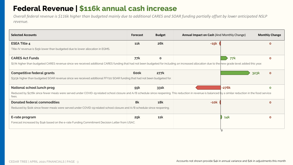### **Federal Revenue | \$116k annual cash increase**

*Overall federal revenue is \$116k higher than budgeted mainly due to additional CARES and SOAR funding partially offset by lower anticipated NSLP revenue.*

| <b>Selected Accounts</b>                                                                                                                                                                                          | <b>Forecast</b> | <b>Budget</b> | Annual Impact on Cash (And Monthly Change) |         | <b>Monthly Change</b> |
|-------------------------------------------------------------------------------------------------------------------------------------------------------------------------------------------------------------------|-----------------|---------------|--------------------------------------------|---------|-----------------------|
| <b>ESEA Title 4</b>                                                                                                                                                                                               | 11k             | <b>26k</b>    | $-15k$                                     |         | $\Omega$              |
| Title-IV revenue is \$15k lower than budgeted due to lower allocation in EGMS.                                                                                                                                    |                 |               |                                            |         |                       |
| <b>CARES Act Funds</b>                                                                                                                                                                                            | 77k             | $\mathbf{o}$  |                                            | 77k     | $\Omega$              |
| \$77k higher than budgeted CARES revenue since we received additional CARES funding that had not been budgeted for including an increased allocation due to the new grade level added this year.                  |                 |               |                                            |         |                       |
| <b>Competitive federal grants</b>                                                                                                                                                                                 | 600k            | 277k          |                                            |         | 323k<br>$\mathbf{o}$  |
| \$323k higher than budgeted SOAR revenue since we received additional FFY20 SOAR funding that had not been budgeted for.                                                                                          |                 |               |                                            |         |                       |
| National school lunch prog                                                                                                                                                                                        | 55k             | 331k          |                                            | $-276k$ | $\Omega$              |
| Reduced by \$276k since fewer meals were served under COVID-19 related school closure and A/B schedule since reopening. This reduction in revenue is balanced by a similar reduction in the food service<br>fees. |                 |               |                                            |         |                       |
| <b>Donated federal commodities</b>                                                                                                                                                                                | 8k              | <b>18k</b>    | $-10k$                                     |         | O                     |
| Reduced by \$10k since fewer meals were served under COVID-19 related school closure and A/B schedule since reopening.                                                                                            |                 |               |                                            |         |                       |
| E-rate program                                                                                                                                                                                                    | 25k             | <b>11k</b>    |                                            | 14k     | Ω                     |
| Forecast increased by \$14k based on the e-rate Funding Commitment Decision Letter from USAC.                                                                                                                     |                 |               |                                            |         |                       |
|                                                                                                                                                                                                                   |                 |               |                                            |         |                       |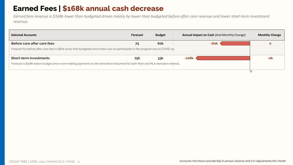### **Earned Fees | \$168k annual cash decrease**

*Earned fees revenue is \$168k lower than budgeted driven mainly by lower than budgeted before after care revenue and lower short-term investment revenue.*

| <b>Selected Accounts</b>                                                                                                            | Forecast | <b>Budget</b> | <b>Annual Impact on Cash (And Monthly Change)</b> | <b>Monthly Change</b> |
|-------------------------------------------------------------------------------------------------------------------------------------|----------|---------------|---------------------------------------------------|-----------------------|
| Before care after care fees                                                                                                         | 75       | 6ok           | -6ok                                              |                       |
| Forecast for before after care fees is \$60k lower than budgeted since there was no participation in the program due to COVID-19.   |          |               |                                                   |                       |
| <b>Short-term investments</b>                                                                                                       | 75k      | 33k           | $-108k$                                           | -ok                   |
| Forecast is \$108k below budget since we're making payments on the derivative instrument for both Main and MLK derivative interest. |          |               |                                                   |                       |
|                                                                                                                                     |          |               |                                                   |                       |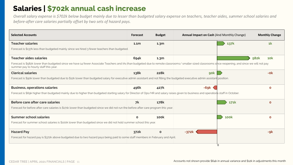### **Salaries | \$702k annual cash increase**

*Overall salary expense is \$702k below budget mainly due to lesser than budgeted salary expense on teachers, teacher aides, summer school salaries and before-after care salaries partially offset by two sets of hazard pays.*

| <b>Selected Accounts</b>                                                                                                                                                                                                                      | <b>Forecast</b>  | <b>Budget</b>    | <b>Annual Impact on Cash (And Monthly Change)</b> |             | <b>Monthly Change</b> |
|-----------------------------------------------------------------------------------------------------------------------------------------------------------------------------------------------------------------------------------------------|------------------|------------------|---------------------------------------------------|-------------|-----------------------|
| <b>Teacher salaries</b>                                                                                                                                                                                                                       | 1.1 <sub>m</sub> | 1.3 <sub>m</sub> |                                                   | 137k        | 1 <sup>k</sup>        |
| Forecast is \$137k less than budgeted mainly since we hired 3 fewer teachers than budgeted.                                                                                                                                                   |                  |                  |                                                   |             |                       |
| <b>Teacher aides salaries</b>                                                                                                                                                                                                                 | 694k             | 1.3 <sub>m</sub> |                                                   |             | 582k<br><b>10k</b>    |
| Forecast is \$582k lower than budgeted since we have 14 fewer Associate Teachers and IAs than budgeted due to remote classrooms/ smaller sized classrooms since reopening, and since we will not pay<br>summer pay to hourly staff this year. |                  |                  |                                                   |             |                       |
| <b>Clerical salaries</b>                                                                                                                                                                                                                      | 138k             | <b>228k</b>      | <b>gok</b>                                        |             | $-Ok$                 |
| Forecast is \$90k lower than budgeted due to \$12k lower than budgeted salary for executive admin assistant and not filling the budgeted executive admin assistant position.                                                                  |                  |                  |                                                   |             |                       |
| <b>Business, operations salaries</b>                                                                                                                                                                                                          | 496k             | 427k             | $-69k$                                            |             | $\mathbf{o}$          |
| Forecast is \$69k higher than budgeted mainly due to higher than budgeted starting salary for Director of Ops/HR and salary raises given to business and operations staff in October.                                                         |                  |                  |                                                   |             |                       |
| Before care after care salaries                                                                                                                                                                                                               | 7k               | 178k             |                                                   | 171k        | $\mathbf{o}$          |
| Forecast for before after care salaries is \$171k lower than budgeted since we did not run the before after care program this year.                                                                                                           |                  |                  |                                                   |             |                       |
| <b>Summer school salaries</b>                                                                                                                                                                                                                 | $\mathbf{o}$     | <b>100k</b>      |                                                   | <b>100k</b> | $\mathbf{o}$          |
| Forecast for summer school salaries is \$100k lower than budgeted since we did not hold summer school this year.                                                                                                                              |                  |                  |                                                   |             |                       |
| <b>Hazard Pay</b>                                                                                                                                                                                                                             | 372k             | $\mathbf{o}$     | $-372k$                                           |             | -9k                   |
| Forecast for hazard pay is \$372k above budgeted due to two hazard pays being paid to some staff members in February and April.                                                                                                               |                  |                  |                                                   |             |                       |
|                                                                                                                                                                                                                                               |                  |                  |                                                   | O.          |                       |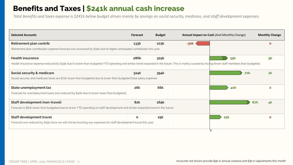#### **Benefits and Taxes | \$241k annual cash increase**

*Total benefits and taxes expense is \$241k below budget driven mainly by savings on social security, medicare, and staff development expenses.*

| <b>Selected Accounts</b>                                                                                                                                                                       | <b>Forecast</b> | <b>Budget</b> |      | <b>Annual Impact on Cash (And Monthly Change)</b> | <b>Monthly Change</b> |
|------------------------------------------------------------------------------------------------------------------------------------------------------------------------------------------------|-----------------|---------------|------|---------------------------------------------------|-----------------------|
| Retirement plan contrib                                                                                                                                                                        | 133k            | 103k          | -30k |                                                   | $\Omega$              |
| Retirement plan contribution expense forecast was increased by \$30k due to higher anticipated contribution this year.                                                                         |                 |               |      |                                                   |                       |
| <b>Health insurance</b>                                                                                                                                                                        | <b>286k</b>     | 325k          |      | <b>39k</b>                                        | <b>gk</b>             |
| Health insurance expense reduced by \$39k due to lower than budgeted YTD spending and similar trend expected in the future. This is mainly caused by having fewer staff members than budgeted. |                 |               |      |                                                   |                       |
| <b>Social security &amp; medicare</b>                                                                                                                                                          | 324k            | 394k          |      | 70k                                               | 2k                    |
| Social security and medicare taxes are \$70k lower than budgeted due to lower than budgeted total salary expense.                                                                              |                 |               |      |                                                   |                       |
| State unemployment tax                                                                                                                                                                         | <b>26k</b>      | <b>66k</b>    |      | 40k                                               | $\mathbf{o}$          |
| Forecast for unemployment taxes was reduced by \$40k due to lower taxes than budgeted.                                                                                                         |                 |               |      |                                                   |                       |
| <b>Staff development (non-travel)</b>                                                                                                                                                          | <b>82k</b>      | <b>169k</b>   |      | <b>87k</b>                                        | 4k                    |
| Forecast is \$87k lower than budgeted due to lower YTD spending on staff development and similar expected trend in the future.                                                                 |                 |               |      |                                                   |                       |
| <b>Staff development travel</b>                                                                                                                                                                | $\mathbf{o}$    | 25k           |      | 25k                                               | $\mathbf{o}$          |
| Forecast was reduced by \$25k since we will not be incurring any expenses for staff development travel this year.                                                                              |                 |               |      |                                                   |                       |
|                                                                                                                                                                                                |                 |               | O.   |                                                   |                       |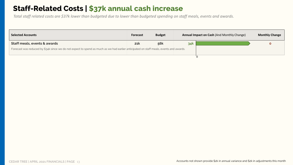#### **Staff-Related Costs | \$37k annual cash increase**

*Total staff related costs are \$37k lower than budgeted due to lower than budgeted spending on staff meals, events and awards.*

| <b>Selected Accounts</b>                                                                                                               | <b>Forecast</b> | <b>Budget</b> | <b>Annual Impact on Cash (And Monthly Change)</b> |  | <b>Monthly Change</b> |
|----------------------------------------------------------------------------------------------------------------------------------------|-----------------|---------------|---------------------------------------------------|--|-----------------------|
| Staff meals, events & awards                                                                                                           | 21k             | 56k           | 34k                                               |  |                       |
| Forecast was reduced by \$34k since we do not expect to spend as much as we had earlier anticipated on staff meals, events and awards. |                 |               |                                                   |  |                       |
|                                                                                                                                        |                 |               |                                                   |  |                       |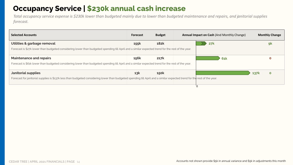### **Occupancy Service | \$230k annual cash increase**

*Total occupancy service expense is \$230k lower than budgeted mainly due to lower than budgeted maintenance and repairs, and janitorial supplies forecast.*

| <b>Selected Accounts</b>                                                                                                                                                 | <b>Forecast</b> | <b>Budget</b> | <b>Annual Impact on Cash (And Monthly Change)</b> |            |             | <b>Monthly Change</b> |
|--------------------------------------------------------------------------------------------------------------------------------------------------------------------------|-----------------|---------------|---------------------------------------------------|------------|-------------|-----------------------|
| Utilities & garbage removal                                                                                                                                              | 155k            | <b>182k</b>   |                                                   | 27k        |             | 9 <sub>k</sub>        |
| Forecast is \$27k lower than budgeted considering lower than budgeted spending till April and a similar expected trend for the rest of the year.                         |                 |               |                                                   |            |             |                       |
| <b>Maintenance and repairs</b>                                                                                                                                           | <b>156k</b>     | 217k          |                                                   | <b>61k</b> |             |                       |
| Forecast is \$61k lower than budgeted considering lower than budgeted spending till April and a similar expected trend for the rest of the year.                         |                 |               |                                                   |            |             |                       |
| <b>Janitorial supplies</b>                                                                                                                                               | 13k             | <b>150k</b>   |                                                   |            | <b>137k</b> | $\mathbf{o}$          |
| Forecast for janitorial supplies is \$137k less than budgeted considering lower than budgeted spending till April and a similar expected trend for the rest of the year. |                 |               |                                                   |            |             |                       |
|                                                                                                                                                                          |                 |               |                                                   |            |             |                       |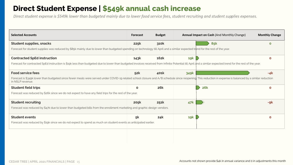#### **Direct Student Expense | \$549k annual cash increase**

*Direct student expense is \$549k lower than budgeted mainly due to lower food service fees, student recruiting and student supplies expenses.*

| <b>Selected Accounts</b>                                                                                                                                                                                                      | <b>Forecast</b> | <b>Budget</b> | Annual Impact on Cash (And Monthly Change) | <b>Monthly Change</b> |              |
|-------------------------------------------------------------------------------------------------------------------------------------------------------------------------------------------------------------------------------|-----------------|---------------|--------------------------------------------|-----------------------|--------------|
| <b>Student supplies, snacks</b>                                                                                                                                                                                               | 225k            | 310k          |                                            | <b>85k</b>            | $\Omega$     |
| Forecast for student supplies was reduced by \$85k mainly due to lower than budgeted spending on technology till April and a similar expected trend for the rest of the year.                                                 |                 |               |                                            |                       |              |
| <b>Contracted SpEd instruction</b>                                                                                                                                                                                            | 143k            | <b>162k</b>   | 19k                                        |                       | $\mathbf{o}$ |
| Forecast for contracted SpEd instruction is \$19k less than budgeted due to lower than budgeted invoices received from Infinite Potential till April and a similar expected trend for the rest of the year.                   |                 |               |                                            |                       |              |
| <b>Food service fees</b>                                                                                                                                                                                                      | 52k             | 401k          | 349k                                       |                       | $-4k$        |
| Forecast is \$349k lower than budgeted since fewer meals were served under COVID-19 related school closure and A/B schedule since reopening. This reduction in expense is balanced by a similar reduction<br>in NSLP revenue. |                 |               |                                            |                       |              |
| <b>Student field trips</b>                                                                                                                                                                                                    | $\mathbf{o}$    | <b>26k</b>    |                                            | <b>26k</b>            | $\mathbf 0$  |
| Forecast was reduced by \$26k since we do not expect to have any field trips for the rest of the year.                                                                                                                        |                 |               |                                            |                       |              |
| <b>Student recruiting</b>                                                                                                                                                                                                     | 205k            | 251k          | 47k                                        |                       | -9k          |
| Forecast was reduced by \$47k due to lower than budgeted bills from the enrollment marketing and graphic design vendors.                                                                                                      |                 |               |                                            |                       |              |
| <b>Student events</b>                                                                                                                                                                                                         | 5k              | 24k           | 19k                                        |                       | $\mathbf{o}$ |
| Forecast was reduced by \$19k since we do not expect to spend as much on student events as anticipated earlier.                                                                                                               |                 |               |                                            |                       |              |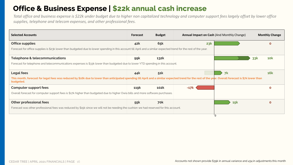### **Office & Business Expense | \$22k annual cash increase**

*Total office and business expense is \$22k under budget due to higher non capitalized technology and computer support fees largely offset by lower office supplies, telephone and telecom expenses, and other professional fees.*

| <b>Selected Accounts</b>                                                                                                                                                                                           | Forecast    | <b>Budget</b> | Annual Impact on Cash (And Monthly Change) |                | <b>Monthly Change</b> |
|--------------------------------------------------------------------------------------------------------------------------------------------------------------------------------------------------------------------|-------------|---------------|--------------------------------------------|----------------|-----------------------|
| <b>Office supplies</b>                                                                                                                                                                                             | 42k         | 65k           | 23k                                        |                | $\mathbf{o}$          |
| Forecast for office supplies is \$23k lower than budgeted due to lower spending in this account till April and a similar expected trend for the rest of the year.                                                  |             |               |                                            |                |                       |
| Telephone & telecommunications                                                                                                                                                                                     | 99k         | <b>132k</b>   |                                            |                | <b>10k</b><br>33k     |
| Forecast for telephone and telecommunications expenses is \$33k lower than budgeted due to lower YTD spending in this account.                                                                                     |             |               |                                            |                |                       |
| <b>Legal fees</b>                                                                                                                                                                                                  | 44k         | 51k           |                                            | 7 <sup>k</sup> | <b>16k</b>            |
| This month, forecast for legal fees was reduced by \$16k due to lower than anticipated spending till April and a similar expected trend for the rest of the year. Overall forecast is \$7k lower than<br>budgeted. |             |               |                                            |                |                       |
| <b>Computer support fees</b>                                                                                                                                                                                       | <b>119k</b> | 102k          | $-17k$                                     |                | $\mathbf 0$           |
| Overall forecast for computer support fees is \$17k higher than budgeted due to higher Owia bills and more software purchases.                                                                                     |             |               |                                            |                |                       |
| <b>Other professional fees</b>                                                                                                                                                                                     | 55k         | 70k           |                                            | 15k            | $\Omega$              |
| Forecast was other professional fees was reduced by \$15k since we will not be needing the cushion we had reserved for this account.                                                                               |             |               |                                            |                |                       |
|                                                                                                                                                                                                                    |             |               |                                            |                |                       |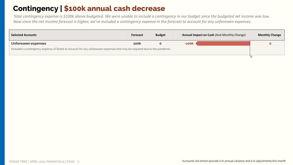### **Contingency | \$100k annual cash decrease**

*Total contingency expense is \$100k above budgeted. We were unable to include a contingency in our budget since the budgeted net income was low. Now since the net income forecast is higher, we've included a contingency expense in the forecast to account for any unforeseen expenses.*

| <b>Selected Accounts</b>                                                                                                  | <b>Forecast</b> | <b>Budget</b> | <b>Annual Impact on Cash (And Monthly Change)</b> | <b>Monthly Change</b> |
|---------------------------------------------------------------------------------------------------------------------------|-----------------|---------------|---------------------------------------------------|-----------------------|
| Unforeseen expenses                                                                                                       | <b>100k</b>     |               | $-100k$                                           |                       |
| Included a contingency expense of \$100k to account for any unforeseen expenses that may be required due to the pandemic. |                 |               |                                                   |                       |
|                                                                                                                           |                 |               |                                                   |                       |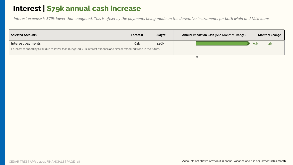### **Interest | \$79k annual cash increase**

*Interest expense is \$79k lower than budgeted. This is offset by the payments being made on the derivative instruments for both Main and MLK loans.*

| <b>Selected Accounts</b>                                                                                            | <b>Forecast</b> | <b>Budget</b> | <b>Annual Impact on Cash (And Monthly Change)</b> |  | <b>Monthly Change</b> |    |
|---------------------------------------------------------------------------------------------------------------------|-----------------|---------------|---------------------------------------------------|--|-----------------------|----|
| Interest payments                                                                                                   | <b>61k</b>      | <b>140k</b>   |                                                   |  | <b>79k</b>            | 2k |
| Forecast reduced by \$79k due to lower than budgeted YTD interest expense and similar expected trend in the future. |                 |               |                                                   |  |                       |    |
|                                                                                                                     |                 |               |                                                   |  |                       |    |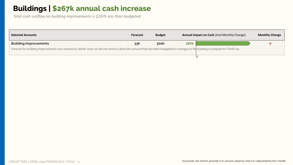### **Buildings | \$267k annual cash increase**

*Total cash outflow on building improvements is \$267k less than budgeted.*

| <b>Selected Accounts</b>                                                                                                                                                         | <b>Forecast</b> | <b>Budget</b> | Annual Impact on Cash (And Monthly Change) |  | <b>Monthly Change</b> |
|----------------------------------------------------------------------------------------------------------------------------------------------------------------------------------|-----------------|---------------|--------------------------------------------|--|-----------------------|
| <b>Building Improvements</b>                                                                                                                                                     | 33k             | 300k          | <b>267k</b>                                |  |                       |
| Forecast for building improvements was reduced by \$267k since we did not need to utilize the amount that had been budgeted for changes to the building to prepare for COVID-19. |                 |               |                                            |  |                       |
|                                                                                                                                                                                  |                 |               |                                            |  |                       |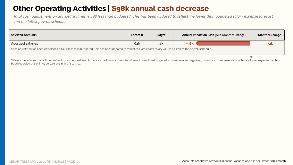### **Other Operating Activities | \$98k annual cash decrease**

*Total cash adjustment on accrued salaries is \$98 less than budgeted. This has been updated to reflect the lower than budgeted salary expense forecast and the latest payroll schedule.*

| <b>Selected Accounts</b>                                                                                                                                          | <b>Forecast</b> | <b>Budget</b> | <b>Annual Impact on Cash (And Monthly Change)</b> | <b>Monthly Change</b> |  |
|-------------------------------------------------------------------------------------------------------------------------------------------------------------------|-----------------|---------------|---------------------------------------------------|-----------------------|--|
| <b>Accrued salaries</b>                                                                                                                                           | 64k             | 34k           | -98k                                              | -2k                   |  |
| Cash adjustment on accrued salaries is \$98k less than budgeted. This has been updated to reflect the latest total salary values as well as the payroll schedule. |                 |               |                                                   |                       |  |
|                                                                                                                                                                   |                 |               |                                                   |                       |  |

\*We accrue salaries that will be paid in July and August 2021 but are earned in our current fiscal year. Lower than budgeted accrued salaries negatively impact cash because we now have a lower expense that has been recorded but will not be paid out in this fiscal year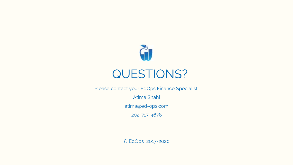

Please contact your EdOps Finance Specialist:

Atima Shahi

atima@ed-ops.com

202-717-4678

© EdOps 2017-2020